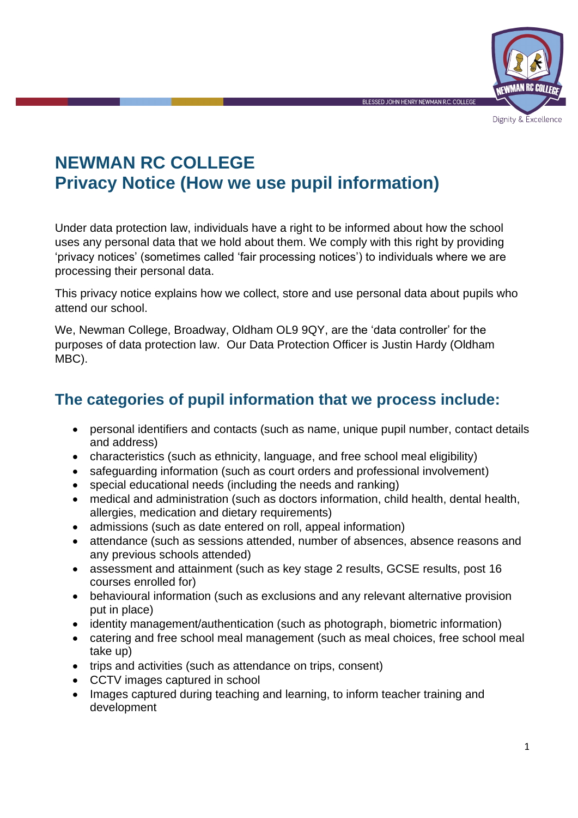

**NEWMAN RC COLLEGE Privacy Notice (How we use pupil information)**

Under data protection law, individuals have a right to be informed about how the school uses any personal data that we hold about them. We comply with this right by providing 'privacy notices' (sometimes called 'fair processing notices') to individuals where we are processing their personal data.

This privacy notice explains how we collect, store and use personal data about pupils who attend our school.

We, Newman College, Broadway, Oldham OL9 9QY, are the 'data controller' for the purposes of data protection law. Our Data Protection Officer is Justin Hardy (Oldham MBC).

## **The categories of pupil information that we process include:**

- personal identifiers and contacts (such as name, unique pupil number, contact details and address)
- characteristics (such as ethnicity, language, and free school meal eligibility)
- safeguarding information (such as court orders and professional involvement)
- special educational needs (including the needs and ranking)
- medical and administration (such as doctors information, child health, dental health, allergies, medication and dietary requirements)
- admissions (such as date entered on roll, appeal information)
- attendance (such as sessions attended, number of absences, absence reasons and any previous schools attended)
- assessment and attainment (such as key stage 2 results, GCSE results, post 16 courses enrolled for)
- behavioural information (such as exclusions and any relevant alternative provision put in place)
- identity management/authentication (such as photograph, biometric information)
- catering and free school meal management (such as meal choices, free school meal take up)
- trips and activities (such as attendance on trips, consent)
- CCTV images captured in school
- Images captured during teaching and learning, to inform teacher training and development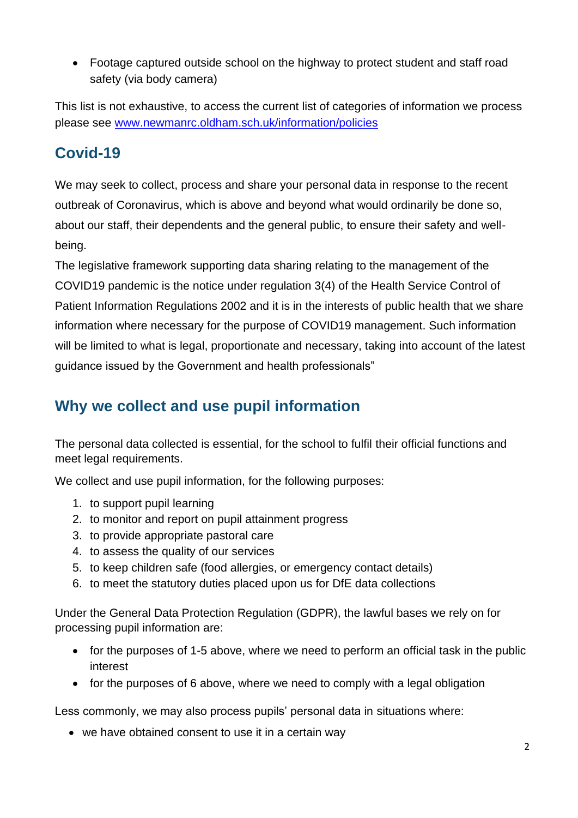• Footage captured outside school on the highway to protect student and staff road safety (via body camera)

This list is not exhaustive, to access the current list of categories of information we process please see [www.newmanrc.oldham.sch.uk/information/policies](http://www.newmanrc.oldham.sch.uk/information/policies) 

# **Covid-19**

We may seek to collect, process and share your personal data in response to the recent outbreak of Coronavirus, which is above and beyond what would ordinarily be done so, about our staff, their dependents and the general public, to ensure their safety and wellbeing.

The legislative framework supporting data sharing relating to the management of the COVID19 pandemic is the notice under regulation 3(4) of the Health Service Control of Patient Information Regulations 2002 and it is in the interests of public health that we share information where necessary for the purpose of COVID19 management. Such information will be limited to what is legal, proportionate and necessary, taking into account of the latest guidance issued by the Government and health professionals"

# **Why we collect and use pupil information**

The personal data collected is essential, for the school to fulfil their official functions and meet legal requirements.

We collect and use pupil information, for the following purposes:

- 1. to support pupil learning
- 2. to monitor and report on pupil attainment progress
- 3. to provide appropriate pastoral care
- 4. to assess the quality of our services
- 5. to keep children safe (food allergies, or emergency contact details)
- 6. to meet the statutory duties placed upon us for DfE data collections

Under the General Data Protection Regulation (GDPR), the lawful bases we rely on for processing pupil information are:

- for the purposes of 1-5 above, where we need to perform an official task in the public interest
- for the purposes of 6 above, where we need to comply with a legal obligation

Less commonly, we may also process pupils' personal data in situations where:

• we have obtained consent to use it in a certain way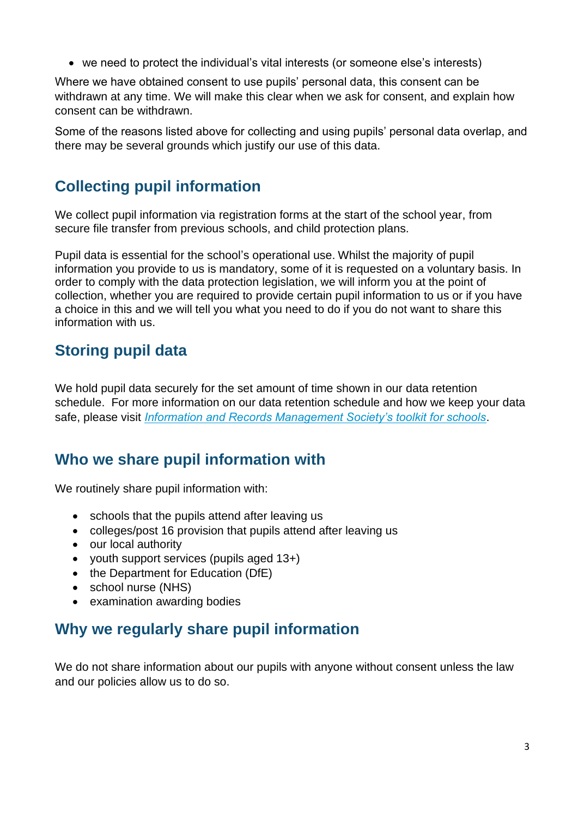• we need to protect the individual's vital interests (or someone else's interests)

Where we have obtained consent to use pupils' personal data, this consent can be withdrawn at any time. We will make this clear when we ask for consent, and explain how consent can be withdrawn.

Some of the reasons listed above for collecting and using pupils' personal data overlap, and there may be several grounds which justify our use of this data.

## **Collecting pupil information**

We collect pupil information via registration forms at the start of the school year, from secure file transfer from previous schools, and child protection plans.

Pupil data is essential for the school's operational use. Whilst the majority of pupil information you provide to us is mandatory, some of it is requested on a voluntary basis. In order to comply with the data protection legislation, we will inform you at the point of collection, whether you are required to provide certain pupil information to us or if you have a choice in this and we will tell you what you need to do if you do not want to share this information with us.

## **Storing pupil data**

We hold pupil data securely for the set amount of time shown in our data retention schedule. For more information on our data retention schedule and how we keep your data safe, please visit *[Information and Records Management Society's toolkit for schools](http://irms.org.uk/?page=schoolstoolkit&terms=%22toolkit+and+schools%22)*.

## **Who we share pupil information with**

We routinely share pupil information with:

- schools that the pupils attend after leaving us
- colleges/post 16 provision that pupils attend after leaving us
- our local authority
- youth support services (pupils aged 13+)
- the Department for Education (DfE)
- school nurse (NHS)
- examination awarding bodies

## **Why we regularly share pupil information**

We do not share information about our pupils with anyone without consent unless the law and our policies allow us to do so.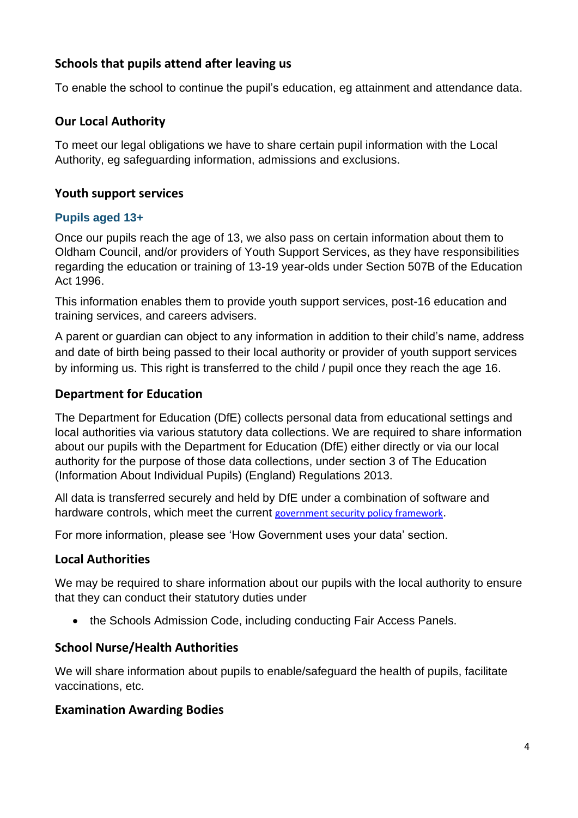#### **Schools that pupils attend after leaving us**

To enable the school to continue the pupil's education, eg attainment and attendance data.

#### **Our Local Authority**

To meet our legal obligations we have to share certain pupil information with the Local Authority, eg safeguarding information, admissions and exclusions.

#### **Youth support services**

#### **Pupils aged 13+**

Once our pupils reach the age of 13, we also pass on certain information about them to Oldham Council, and/or providers of Youth Support Services, as they have responsibilities regarding the education or training of 13-19 year-olds under Section 507B of the Education Act 1996.

This information enables them to provide youth support services, post-16 education and training services, and careers advisers.

A parent or guardian can object to any information in addition to their child's name, address and date of birth being passed to their local authority or provider of youth support services by informing us. This right is transferred to the child / pupil once they reach the age 16.

#### **Department for Education**

The Department for Education (DfE) collects personal data from educational settings and local authorities via various statutory data collections. We are required to share information about our pupils with the Department for Education (DfE) either directly or via our local authority for the purpose of those data collections, under section 3 of The Education (Information About Individual Pupils) (England) Regulations 2013.

All data is transferred securely and held by DfE under a combination of software and hardware controls, which meet the current [government security policy framework](https://www.gov.uk/government/publications/security-policy-framework).

For more information, please see 'How Government uses your data' section.

#### **Local Authorities**

We may be required to share information about our pupils with the local authority to ensure that they can conduct their statutory duties under

• the [Schools Admission Code,](https://www.gov.uk/government/publications/school-admissions-code--2) including conducting Fair Access Panels.

#### **School Nurse/Health Authorities**

We will share information about pupils to enable/safeguard the health of pupils, facilitate vaccinations, etc.

#### **Examination Awarding Bodies**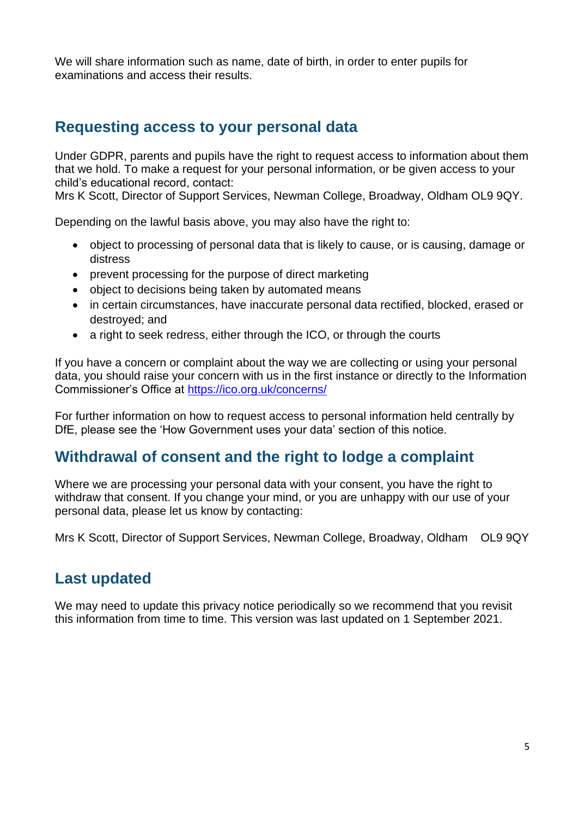We will share information such as name, date of birth, in order to enter pupils for examinations and access their results.

### **Requesting access to your personal data**

Under GDPR, parents and pupils have the right to request access to information about them that we hold. To make a request for your personal information, or be given access to your child's educational record, contact:

Mrs K Scott, Director of Support Services, Newman College, Broadway, Oldham OL9 9QY.

Depending on the lawful basis above, you may also have the right to:

- object to processing of personal data that is likely to cause, or is causing, damage or distress
- prevent processing for the purpose of direct marketing
- object to decisions being taken by automated means
- in certain circumstances, have inaccurate personal data rectified, blocked, erased or destroyed; and
- a right to seek redress, either through the ICO, or through the courts

If you have a concern or complaint about the way we are collecting or using your personal data, you should raise your concern with us in the first instance or directly to the Information Commissioner's Office at <https://ico.org.uk/concerns/>

For further information on how to request access to personal information held centrally by DfE, please see the 'How Government uses your data' section of this notice.

## **Withdrawal of consent and the right to lodge a complaint**

Where we are processing your personal data with your consent, you have the right to withdraw that consent. If you change your mind, or you are unhappy with our use of your personal data, please let us know by contacting:

Mrs K Scott, Director of Support Services, Newman College, Broadway, Oldham OL9 9QY

## **Last updated**

We may need to update this privacy notice periodically so we recommend that you revisit this information from time to time. This version was last updated on 1 September 2021.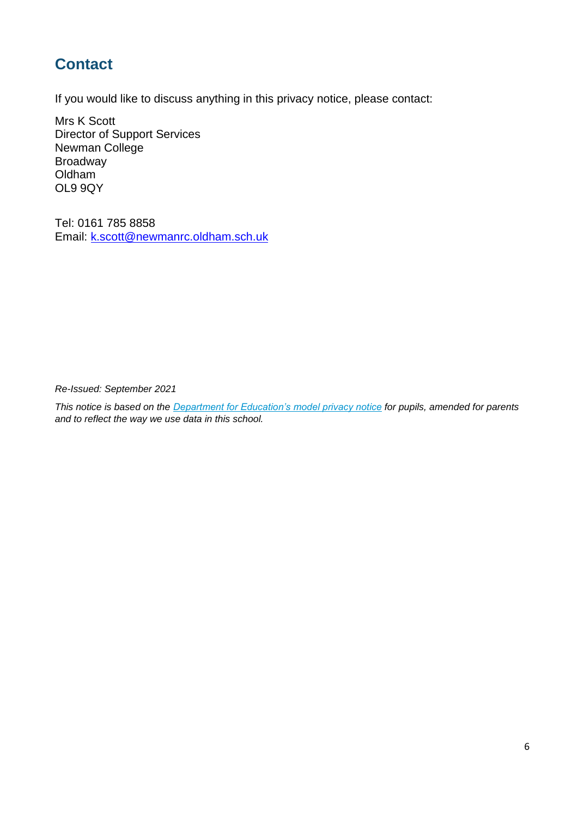# **Contact**

If you would like to discuss anything in this privacy notice, please contact:

Mrs K Scott Director of Support Services Newman College Broadway Oldham OL9 9QY

Tel: 0161 785 8858 Email: [k.scott@newmanrc.oldham.sch.uk](mailto:k.scott@newmanrc.oldham.sch.uk)

*Re-Issued: September 2021*

*This notice is based on the [Department for Education's model privacy notice](https://www.gov.uk/government/publications/data-protection-and-privacy-privacy-notices) for pupils, amended for parents and to reflect the way we use data in this school.*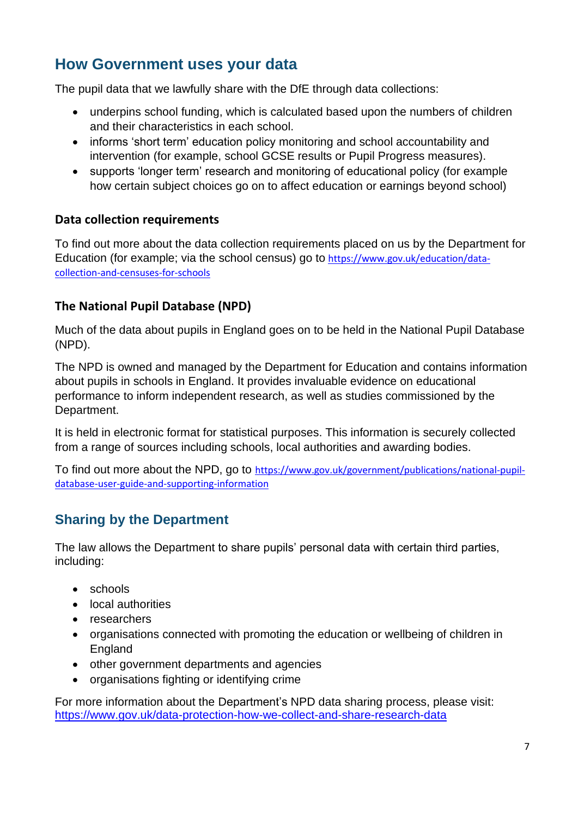## **How Government uses your data**

The pupil data that we lawfully share with the DfE through data collections:

- underpins school funding, which is calculated based upon the numbers of children and their characteristics in each school.
- informs 'short term' education policy monitoring and school accountability and intervention (for example, school GCSE results or Pupil Progress measures).
- supports 'longer term' research and monitoring of educational policy (for example how certain subject choices go on to affect education or earnings beyond school)

#### **Data collection requirements**

To find out more about the data collection requirements placed on us by the Department for Education (for example; via the school census) go to [https://www.gov.uk/education/data](https://www.gov.uk/education/data-collection-and-censuses-for-schools)[collection-and-censuses-for-schools](https://www.gov.uk/education/data-collection-and-censuses-for-schools)

#### **The National Pupil Database (NPD)**

Much of the data about pupils in England goes on to be held in the National Pupil Database (NPD).

The NPD is owned and managed by the Department for Education and contains information about pupils in schools in England. It provides invaluable evidence on educational performance to inform independent research, as well as studies commissioned by the Department.

It is held in electronic format for statistical purposes. This information is securely collected from a range of sources including schools, local authorities and awarding bodies.

To find out more about the NPD, go to [https://www.gov.uk/government/publications/national-pupil](https://www.gov.uk/government/publications/national-pupil-database-user-guide-and-supporting-information)[database-user-guide-and-supporting-information](https://www.gov.uk/government/publications/national-pupil-database-user-guide-and-supporting-information)

### **Sharing by the Department**

The law allows the Department to share pupils' personal data with certain third parties, including:

- schools
- local authorities
- researchers
- organisations connected with promoting the education or wellbeing of children in England
- other government departments and agencies
- organisations fighting or identifying crime

For more information about the Department's NPD data sharing process, please visit: <https://www.gov.uk/data-protection-how-we-collect-and-share-research-data>